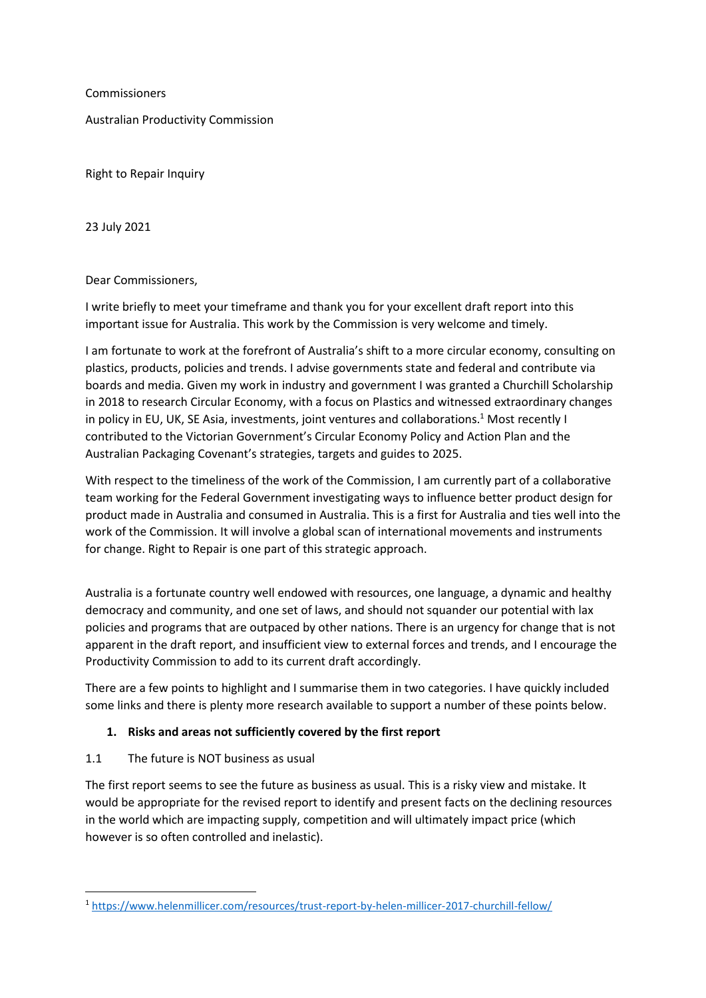**Commissioners** 

Australian Productivity Commission

Right to Repair Inquiry

23 July 2021

Dear Commissioners,

I write briefly to meet your timeframe and thank you for your excellent draft report into this important issue for Australia. This work by the Commission is very welcome and timely.

I am fortunate to work at the forefront of Australia's shift to a more circular economy, consulting on plastics, products, policies and trends. I advise governments state and federal and contribute via boards and media. Given my work in industry and government I was granted a Churchill Scholarship in 2018 to research Circular Economy, with a focus on Plastics and witnessed extraordinary changes in policy in EU, UK, SE Asia, investments, joint ventures and collaborations.<sup>1</sup> Most recently I contributed to the Victorian Government's Circular Economy Policy and Action Plan and the Australian Packaging Covenant's strategies, targets and guides to 2025.

With respect to the timeliness of the work of the Commission, I am currently part of a collaborative team working for the Federal Government investigating ways to influence better product design for product made in Australia and consumed in Australia. This is a first for Australia and ties well into the work of the Commission. It will involve a global scan of international movements and instruments for change. Right to Repair is one part of this strategic approach.

Australia is a fortunate country well endowed with resources, one language, a dynamic and healthy democracy and community, and one set of laws, and should not squander our potential with lax policies and programs that are outpaced by other nations. There is an urgency for change that is not apparent in the draft report, and insufficient view to external forces and trends, and I encourage the Productivity Commission to add to its current draft accordingly.

There are a few points to highlight and I summarise them in two categories. I have quickly included some links and there is plenty more research available to support a number of these points below.

# **1. Risks and areas not sufficiently covered by the first report**

# 1.1 The future is NOT business as usual

The first report seems to see the future as business as usual. This is a risky view and mistake. It would be appropriate for the revised report to identify and present facts on the declining resources in the world which are impacting supply, competition and will ultimately impact price (which however is so often controlled and inelastic).

<sup>1</sup> <https://www.helenmillicer.com/resources/trust-report-by-helen-millicer-2017-churchill-fellow/>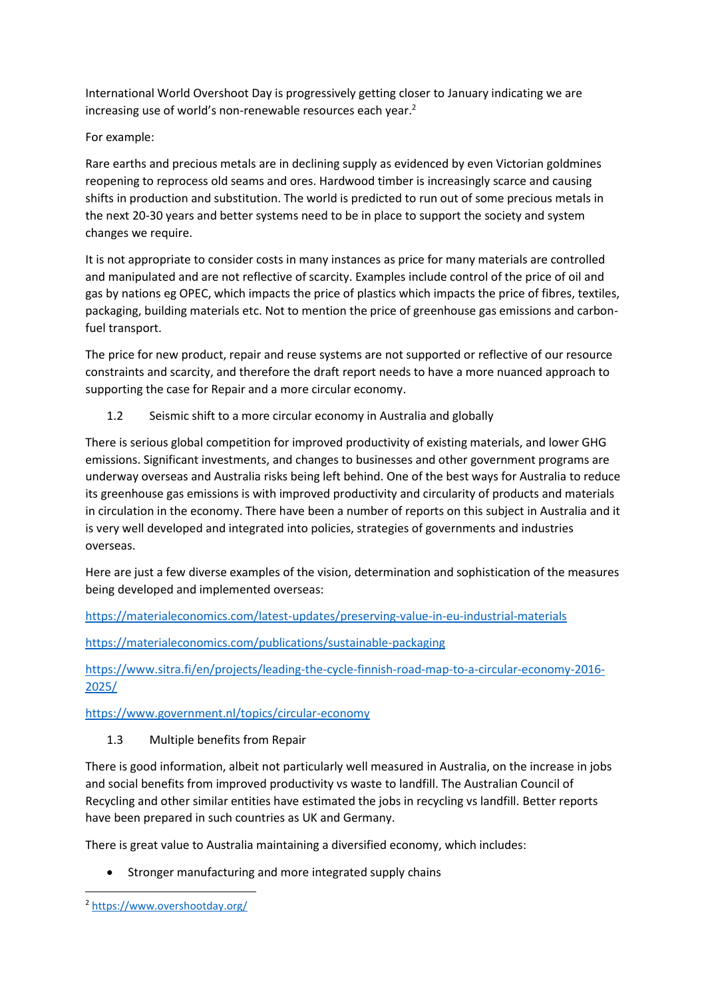International World Overshoot Day is progressively getting closer to January indicating we are increasing use of world's non-renewable resources each year.<sup>2</sup>

For example:

Rare earths and precious metals are in declining supply as evidenced by even Victorian goldmines reopening to reprocess old seams and ores. Hardwood timber is increasingly scarce and causing shifts in production and substitution. The world is predicted to run out of some precious metals in the next 20-30 years and better systems need to be in place to support the society and system changes we require.

It is not appropriate to consider costs in many instances as price for many materials are controlled and manipulated and are not reflective of scarcity. Examples include control of the price of oil and gas by nations eg OPEC, which impacts the price of plastics which impacts the price of fibres, textiles, packaging, building materials etc. Not to mention the price of greenhouse gas emissions and carbonfuel transport.

The price for new product, repair and reuse systems are not supported or reflective of our resource constraints and scarcity, and therefore the draft report needs to have a more nuanced approach to supporting the case for Repair and a more circular economy.

1.2 Seismic shift to a more circular economy in Australia and globally

There is serious global competition for improved productivity of existing materials, and lower GHG emissions. Significant investments, and changes to businesses and other government programs are underway overseas and Australia risks being left behind. One of the best ways for Australia to reduce its greenhouse gas emissions is with improved productivity and circularity of products and materials in circulation in the economy. There have been a number of reports on this subject in Australia and it is very well developed and integrated into policies, strategies of governments and industries overseas.

Here are just a few diverse examples of the vision, determination and sophistication of the measures being developed and implemented overseas:

<https://materialeconomics.com/latest-updates/preserving-value-in-eu-industrial-materials>

<https://materialeconomics.com/publications/sustainable-packaging>

[https://www.sitra.fi/en/projects/leading-the-cycle-finnish-road-map-to-a-circular-economy-2016-](https://www.sitra.fi/en/projects/leading-the-cycle-finnish-road-map-to-a-circular-economy-2016-2025/) [2025/](https://www.sitra.fi/en/projects/leading-the-cycle-finnish-road-map-to-a-circular-economy-2016-2025/)

<https://www.government.nl/topics/circular-economy>

1.3 Multiple benefits from Repair

There is good information, albeit not particularly well measured in Australia, on the increase in jobs and social benefits from improved productivity vs waste to landfill. The Australian Council of Recycling and other similar entities have estimated the jobs in recycling vs landfill. Better reports have been prepared in such countries as UK and Germany.

There is great value to Australia maintaining a diversified economy, which includes:

• Stronger manufacturing and more integrated supply chains

<sup>2</sup> <https://www.overshootday.org/>